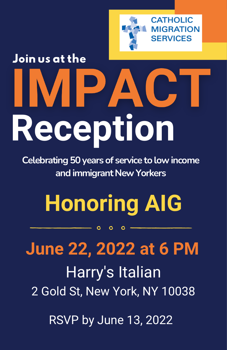

### Join us at the **TPT**  $\overline{\phantom{a}}$  $\blacktriangle$ **Reception**

**Celebrating 50 years of service to low income and immigrant New Yorkers**

## **Honoring AIG**

O

 $\Omega$ 

## **June 22, 2022 at 6 PM**

Harry's Italian 2 Gold St, New York, NY 10038

RSVP by June 13, 2022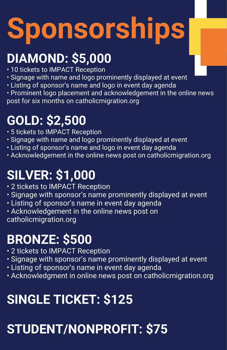# **Sponsorships**

#### **DIAMOND: \$5,000**

- 10 tickets to IMPACT Reception
- Signage with name and logo prominently displayed at event
- Listing of sponsor's name and logo in event day agenda
- Prominent logo placement and acknowledgement in the online news post for six months on catholicmigration.org

#### **GOLD: \$2,500**

- 5 tickets to IMPACT Reception
- Signage with name and logo prominently displayed at event
- Listing of sponsor's name and logo in event day agenda
- Acknowledgement in the online news post on catholicmigration.org

#### **SILVER: \$1,000**

- 2 tickets to IMPACT Reception
- Signage with sponsor's name prominently displayed at event
- Listing of sponsor's name in event day agenda
- Acknowledgement in the online news post on catholicmigration.org

#### **BRONZE: \$500**

- 2 tickets to IMPACT Reception
- Signage with sponsor's name prominently displayed at event
- Listing of sponsor's name in event day agenda
- Acknowledgment in online news post on catholicmigration.org

#### **SINGLE TICKET: \$125**

#### **STUDENT/NONPROFIT: \$75**